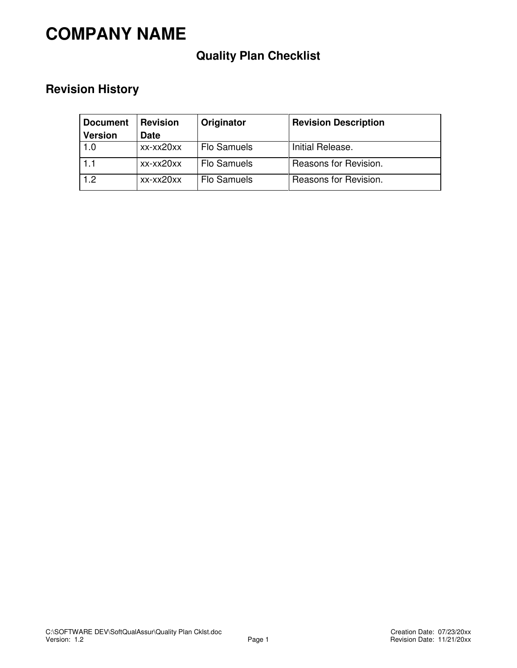# **COMPANY NAME**

## **Quality Plan Checklist**

### **Revision History**

| <b>Document</b> | <b>Revision</b> | Originator         | <b>Revision Description</b> |
|-----------------|-----------------|--------------------|-----------------------------|
| <b>Version</b>  | <b>Date</b>     |                    |                             |
| 1.0             | xx-xx20xx       | Flo Samuels        | Initial Release.            |
| i 1.1           | xx-xx20xx       | <b>Flo Samuels</b> | Reasons for Revision.       |
| 1.2             | xx-xx20xx       | <b>Flo Samuels</b> | Reasons for Revision.       |